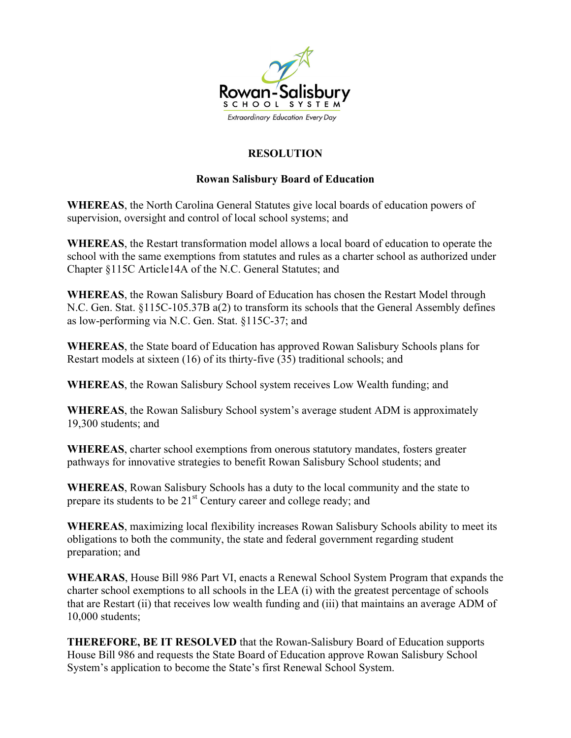

## **RESOLUTION**

## **Rowan Salisbury Board of Education**

**WHEREAS**, the North Carolina General Statutes give local boards of education powers of supervision, oversight and control of local school systems; and

**WHEREAS**, the Restart transformation model allows a local board of education to operate the school with the same exemptions from statutes and rules as a charter school as authorized under Chapter §115C Article14A of the N.C. General Statutes; and

**WHEREAS**, the Rowan Salisbury Board of Education has chosen the Restart Model through N.C. Gen. Stat. §115C-105.37B a(2) to transform its schools that the General Assembly defines as low-performing via N.C. Gen. Stat. §115C-37; and

**WHEREAS**, the State board of Education has approved Rowan Salisbury Schools plans for Restart models at sixteen (16) of its thirty-five (35) traditional schools; and

**WHEREAS**, the Rowan Salisbury School system receives Low Wealth funding; and

**WHEREAS**, the Rowan Salisbury School system's average student ADM is approximately 19,300 students; and

**WHEREAS**, charter school exemptions from onerous statutory mandates, fosters greater pathways for innovative strategies to benefit Rowan Salisbury School students; and

**WHEREAS**, Rowan Salisbury Schools has a duty to the local community and the state to prepare its students to be 21<sup>st</sup> Century career and college ready; and

**WHEREAS**, maximizing local flexibility increases Rowan Salisbury Schools ability to meet its obligations to both the community, the state and federal government regarding student preparation; and

**WHEARAS**, House Bill 986 Part VI, enacts a Renewal School System Program that expands the charter school exemptions to all schools in the LEA (i) with the greatest percentage of schools that are Restart (ii) that receives low wealth funding and (iii) that maintains an average ADM of 10,000 students;

**THEREFORE, BE IT RESOLVED** that the Rowan-Salisbury Board of Education supports House Bill 986 and requests the State Board of Education approve Rowan Salisbury School System's application to become the State's first Renewal School System.